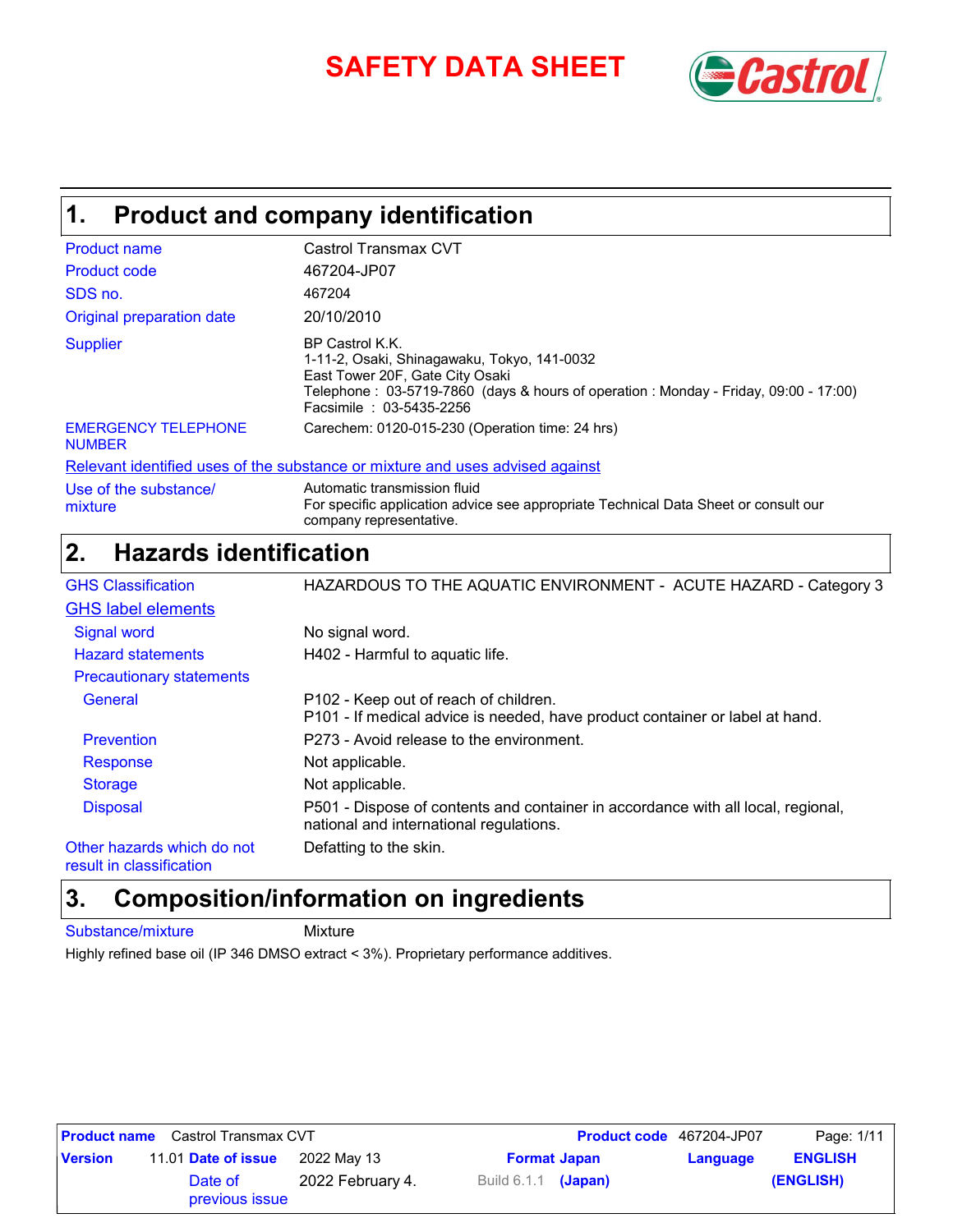# **SAFETY DATA SHEET** *Castrol*



## **Product and company identification 1.**

| <b>Product name</b>                         | Castrol Transmax CVT                                                                                                                                                                                                |
|---------------------------------------------|---------------------------------------------------------------------------------------------------------------------------------------------------------------------------------------------------------------------|
| Product code                                | 467204-JP07                                                                                                                                                                                                         |
| SDS no.                                     | 467204                                                                                                                                                                                                              |
| Original preparation date                   | 20/10/2010                                                                                                                                                                                                          |
| <b>Supplier</b>                             | BP Castrol K.K.<br>1-11-2, Osaki, Shinagawaku, Tokyo, 141-0032<br>East Tower 20F, Gate City Osaki<br>Telephone: 03-5719-7860 (days & hours of operation: Monday - Friday, 09:00 - 17:00)<br>Facsimile: 03-5435-2256 |
| <b>EMERGENCY TELEPHONE</b><br><b>NUMBER</b> | Carechem: 0120-015-230 (Operation time: 24 hrs)                                                                                                                                                                     |
|                                             | Relevant identified uses of the substance or mixture and uses advised against                                                                                                                                       |
| Use of the substance/<br>mixture            | Automatic transmission fluid<br>For specific application advice see appropriate Technical Data Sheet or consult our                                                                                                 |

## company representative. **Hazards identification 2.**

| <b>GHS Classification</b>       | HAZARDOUS TO THE AQUATIC ENVIRONMENT - ACUTE HAZARD - Category 3                                                            |
|---------------------------------|-----------------------------------------------------------------------------------------------------------------------------|
| <b>GHS label elements</b>       |                                                                                                                             |
| <b>Signal word</b>              | No signal word.                                                                                                             |
| <b>Hazard statements</b>        | H402 - Harmful to aquatic life.                                                                                             |
| <b>Precautionary statements</b> |                                                                                                                             |
| General                         | P102 - Keep out of reach of children.<br>P101 - If medical advice is needed, have product container or label at hand.       |
| <b>Prevention</b>               | P273 - Avoid release to the environment.                                                                                    |
| <b>Response</b>                 | Not applicable.                                                                                                             |
| <b>Storage</b>                  | Not applicable.                                                                                                             |
| <b>Disposal</b>                 | P501 - Dispose of contents and container in accordance with all local, regional,<br>national and international regulations. |
| Other hazards which do not      | Defatting to the skin.                                                                                                      |
|                                 |                                                                                                                             |

result in classification

## **Composition/information on ingredients 3.**

Substance/mixture Mixture

Highly refined base oil (IP 346 DMSO extract < 3%). Proprietary performance additives.

|                | <b>Product name</b> Castrol Transmax CVT |                  |                       | Product code 467204-JP07 | Page: 1/11     |
|----------------|------------------------------------------|------------------|-----------------------|--------------------------|----------------|
| <b>Version</b> | 11.01 Date of issue                      | 2022 Mav 13      | <b>Format Japan</b>   | Language                 | <b>ENGLISH</b> |
|                | Date of<br>previous issue                | 2022 February 4. | Build $6.1.1$ (Japan) |                          | (ENGLISH)      |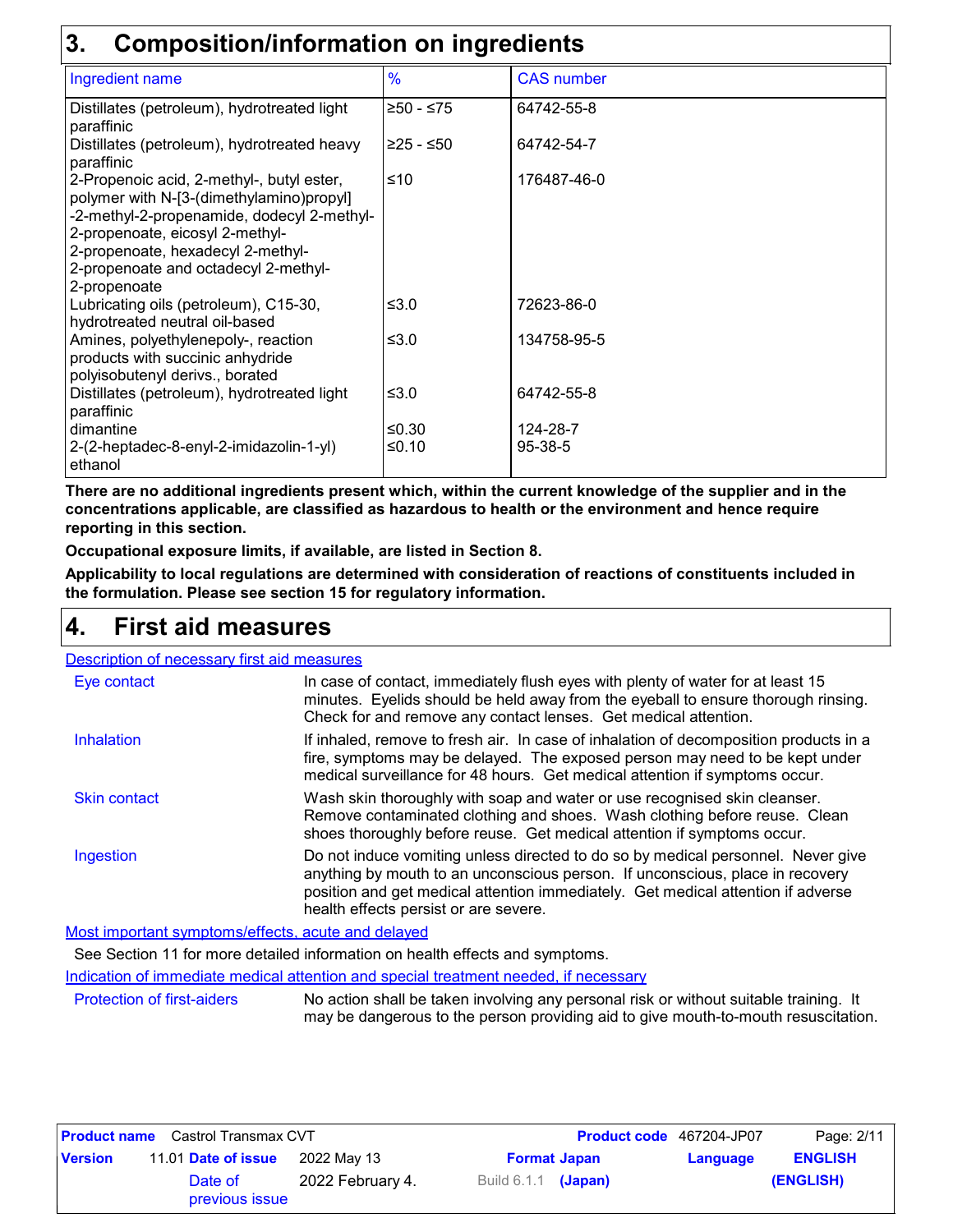## **3. Composition/information on ingredients**

| <u>sampoonnonninonninon on ingredicto</u>                                                                                                                                                                                                                           |               |                   |  |  |
|---------------------------------------------------------------------------------------------------------------------------------------------------------------------------------------------------------------------------------------------------------------------|---------------|-------------------|--|--|
| Ingredient name                                                                                                                                                                                                                                                     | $\frac{9}{6}$ | <b>CAS number</b> |  |  |
| Distillates (petroleum), hydrotreated light<br>paraffinic                                                                                                                                                                                                           | ≥50 - ≤75     | 64742-55-8        |  |  |
| Distillates (petroleum), hydrotreated heavy<br>paraffinic                                                                                                                                                                                                           | 225 - ≤50     | 64742-54-7        |  |  |
| 2-Propenoic acid, 2-methyl-, butyl ester,<br>polymer with N-[3-(dimethylamino)propyl]<br>-2-methyl-2-propenamide, dodecyl 2-methyl-<br>2-propenoate, eicosyl 2-methyl-<br>2-propenoate, hexadecyl 2-methyl-<br>2-propenoate and octadecyl 2-methyl-<br>2-propenoate | $≤10$         | 176487-46-0       |  |  |
| Lubricating oils (petroleum), C15-30,<br>hydrotreated neutral oil-based                                                                                                                                                                                             | ≤ $3.0$       | 72623-86-0        |  |  |
| Amines, polyethylenepoly-, reaction<br>products with succinic anhydride<br>polyisobutenyl derivs., borated                                                                                                                                                          | ≤ $3.0$       | 134758-95-5       |  |  |
| Distillates (petroleum), hydrotreated light<br>paraffinic                                                                                                                                                                                                           | ≤ $3.0$       | 64742-55-8        |  |  |
| dimantine                                                                                                                                                                                                                                                           | ≤ $0.30$      | 124-28-7          |  |  |
| 2-(2-heptadec-8-enyl-2-imidazolin-1-yl)<br>ethanol                                                                                                                                                                                                                  | $≤0.10$       | 95-38-5           |  |  |

**There are no additional ingredients present which, within the current knowledge of the supplier and in the concentrations applicable, are classified as hazardous to health or the environment and hence require reporting in this section.**

**Occupational exposure limits, if available, are listed in Section 8.**

**Applicability to local regulations are determined with consideration of reactions of constituents included in the formulation. Please see section 15 for regulatory information.**

## **First aid measures 4.**

| Description of necessary first aid measures       |                                                                                                                                                                                                                                                                                                |
|---------------------------------------------------|------------------------------------------------------------------------------------------------------------------------------------------------------------------------------------------------------------------------------------------------------------------------------------------------|
| Eye contact                                       | In case of contact, immediately flush eyes with plenty of water for at least 15<br>minutes. Eyelids should be held away from the eyeball to ensure thorough rinsing.<br>Check for and remove any contact lenses. Get medical attention.                                                        |
| <b>Inhalation</b>                                 | If inhaled, remove to fresh air. In case of inhalation of decomposition products in a<br>fire, symptoms may be delayed. The exposed person may need to be kept under<br>medical surveillance for 48 hours. Get medical attention if symptoms occur.                                            |
| <b>Skin contact</b>                               | Wash skin thoroughly with soap and water or use recognised skin cleanser.<br>Remove contaminated clothing and shoes. Wash clothing before reuse. Clean<br>shoes thoroughly before reuse. Get medical attention if symptoms occur.                                                              |
| Ingestion                                         | Do not induce vomiting unless directed to do so by medical personnel. Never give<br>anything by mouth to an unconscious person. If unconscious, place in recovery<br>position and get medical attention immediately. Get medical attention if adverse<br>health effects persist or are severe. |
| Meetimpertent symptome/offects, south and delayed |                                                                                                                                                                                                                                                                                                |

Most important symptoms/effects, acute and delayed

See Section 11 for more detailed information on health effects and symptoms.

Indication of immediate medical attention and special treatment needed, if necessary

Protection of first-aiders No action shall be taken involving any personal risk or without suitable training. It may be dangerous to the person providing aid to give mouth-to-mouth resuscitation.

|                | <b>Product name</b> Castrol Transmax CVT |                  |                       | <b>Product code</b> 467204-JP07 | Page: 2/11     |
|----------------|------------------------------------------|------------------|-----------------------|---------------------------------|----------------|
| <b>Version</b> | 11.01 Date of issue                      | 2022 Mav 13      | <b>Format Japan</b>   | Language                        | <b>ENGLISH</b> |
|                | Date of<br>previous issue                | 2022 February 4. | Build $6.1.1$ (Japan) |                                 | (ENGLISH)      |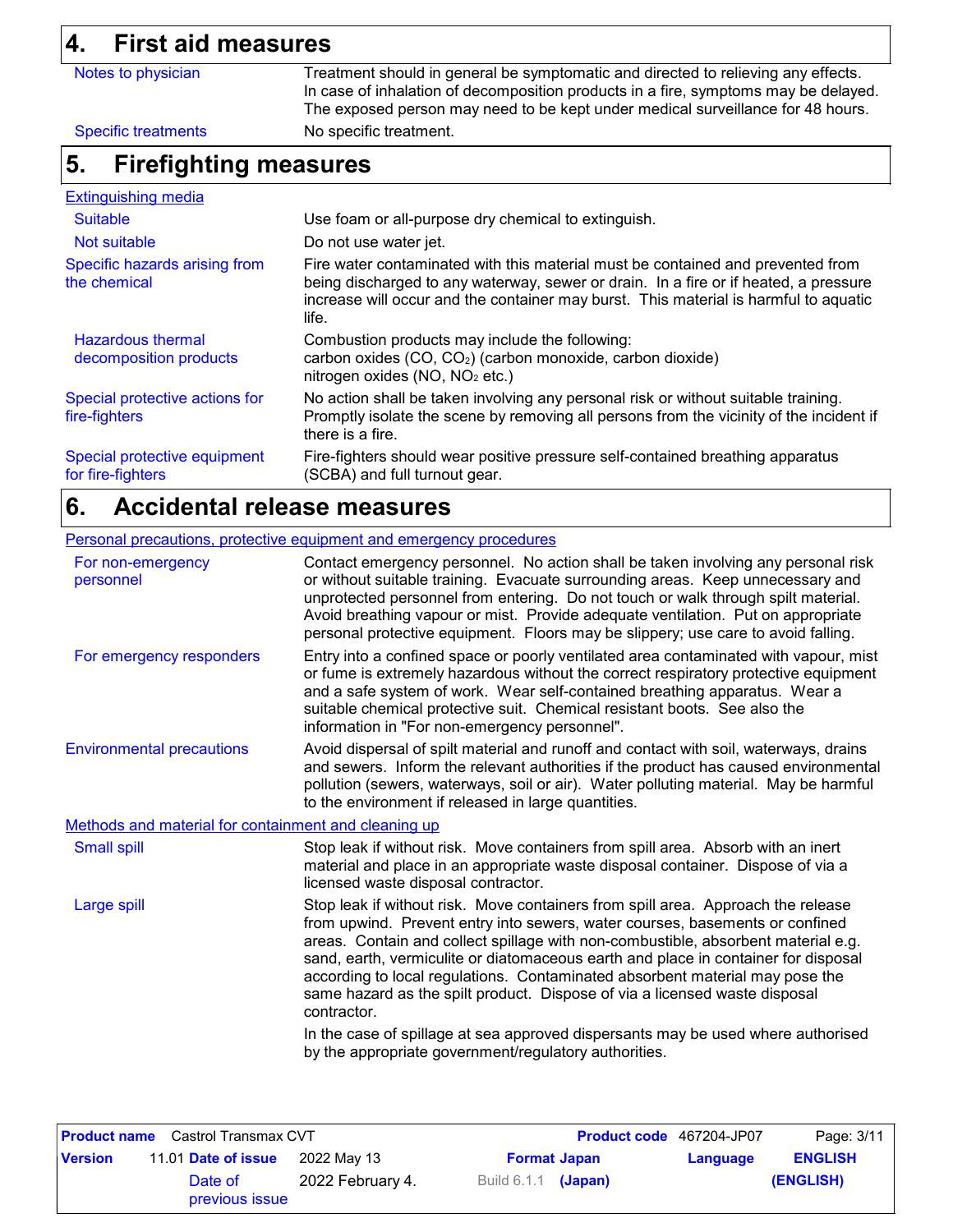# **4. First aid measures**

| 4.                                                | First ald measures                                 |                                                                                                                                                                                                                                                                          |  |
|---------------------------------------------------|----------------------------------------------------|--------------------------------------------------------------------------------------------------------------------------------------------------------------------------------------------------------------------------------------------------------------------------|--|
|                                                   | Notes to physician                                 | Treatment should in general be symptomatic and directed to relieving any effects.<br>In case of inhalation of decomposition products in a fire, symptoms may be delayed.<br>The exposed person may need to be kept under medical surveillance for 48 hours.              |  |
|                                                   | <b>Specific treatments</b>                         | No specific treatment.                                                                                                                                                                                                                                                   |  |
| 5.                                                | <b>Firefighting measures</b>                       |                                                                                                                                                                                                                                                                          |  |
|                                                   | <b>Extinguishing media</b>                         |                                                                                                                                                                                                                                                                          |  |
| <b>Suitable</b>                                   |                                                    | Use foam or all-purpose dry chemical to extinguish.                                                                                                                                                                                                                      |  |
|                                                   | Not suitable                                       | Do not use water jet.                                                                                                                                                                                                                                                    |  |
| Specific hazards arising from<br>the chemical     |                                                    | Fire water contaminated with this material must be contained and prevented from<br>being discharged to any waterway, sewer or drain. In a fire or if heated, a pressure<br>increase will occur and the container may burst. This material is harmful to aquatic<br>life. |  |
|                                                   | <b>Hazardous thermal</b><br>decomposition products | Combustion products may include the following:<br>carbon oxides (CO, CO <sub>2</sub> ) (carbon monoxide, carbon dioxide)<br>nitrogen oxides (NO, NO <sub>2</sub> etc.)                                                                                                   |  |
| fire-fighters                                     | Special protective actions for                     | No action shall be taken involving any personal risk or without suitable training.<br>Promptly isolate the scene by removing all persons from the vicinity of the incident if<br>there is a fire.                                                                        |  |
| Special protective equipment<br>for fire-fighters |                                                    | Fire-fighters should wear positive pressure self-contained breathing apparatus<br>(SCBA) and full turnout gear.                                                                                                                                                          |  |

## **Accidental release measures 6.**

## Personal precautions, protective equipment and emergency procedures

| For non-emergency<br>personnel                       | Contact emergency personnel. No action shall be taken involving any personal risk<br>or without suitable training. Evacuate surrounding areas. Keep unnecessary and<br>unprotected personnel from entering. Do not touch or walk through spilt material.<br>Avoid breathing vapour or mist. Provide adequate ventilation. Put on appropriate<br>personal protective equipment. Floors may be slippery; use care to avoid falling.                                                                                        |
|------------------------------------------------------|--------------------------------------------------------------------------------------------------------------------------------------------------------------------------------------------------------------------------------------------------------------------------------------------------------------------------------------------------------------------------------------------------------------------------------------------------------------------------------------------------------------------------|
| For emergency responders                             | Entry into a confined space or poorly ventilated area contaminated with vapour, mist<br>or fume is extremely hazardous without the correct respiratory protective equipment<br>and a safe system of work. Wear self-contained breathing apparatus. Wear a<br>suitable chemical protective suit. Chemical resistant boots. See also the<br>information in "For non-emergency personnel".                                                                                                                                  |
| <b>Environmental precautions</b>                     | Avoid dispersal of spilt material and runoff and contact with soil, waterways, drains<br>and sewers. Inform the relevant authorities if the product has caused environmental<br>pollution (sewers, waterways, soil or air). Water polluting material. May be harmful<br>to the environment if released in large quantities.                                                                                                                                                                                              |
| Methods and material for containment and cleaning up |                                                                                                                                                                                                                                                                                                                                                                                                                                                                                                                          |
| <b>Small spill</b>                                   | Stop leak if without risk. Move containers from spill area. Absorb with an inert<br>material and place in an appropriate waste disposal container. Dispose of via a<br>licensed waste disposal contractor.                                                                                                                                                                                                                                                                                                               |
| Large spill                                          | Stop leak if without risk. Move containers from spill area. Approach the release<br>from upwind. Prevent entry into sewers, water courses, basements or confined<br>areas. Contain and collect spillage with non-combustible, absorbent material e.g.<br>sand, earth, vermiculite or diatomaceous earth and place in container for disposal<br>according to local regulations. Contaminated absorbent material may pose the<br>same hazard as the spilt product. Dispose of via a licensed waste disposal<br>contractor. |
|                                                      | In the case of spillage at sea approved dispersants may be used where authorised<br>by the appropriate government/regulatory authorities.                                                                                                                                                                                                                                                                                                                                                                                |

|                | <b>Product name</b> Castrol Transmax CVT |                  |                       | Product code 467204-JP07 | Page: 3/11     |
|----------------|------------------------------------------|------------------|-----------------------|--------------------------|----------------|
| <b>Version</b> | 11.01 Date of issue                      | 2022 May 13      | <b>Format Japan</b>   | Language                 | <b>ENGLISH</b> |
|                | Date of<br>previous issue                | 2022 February 4. | Build $6.1.1$ (Japan) |                          | (ENGLISH)      |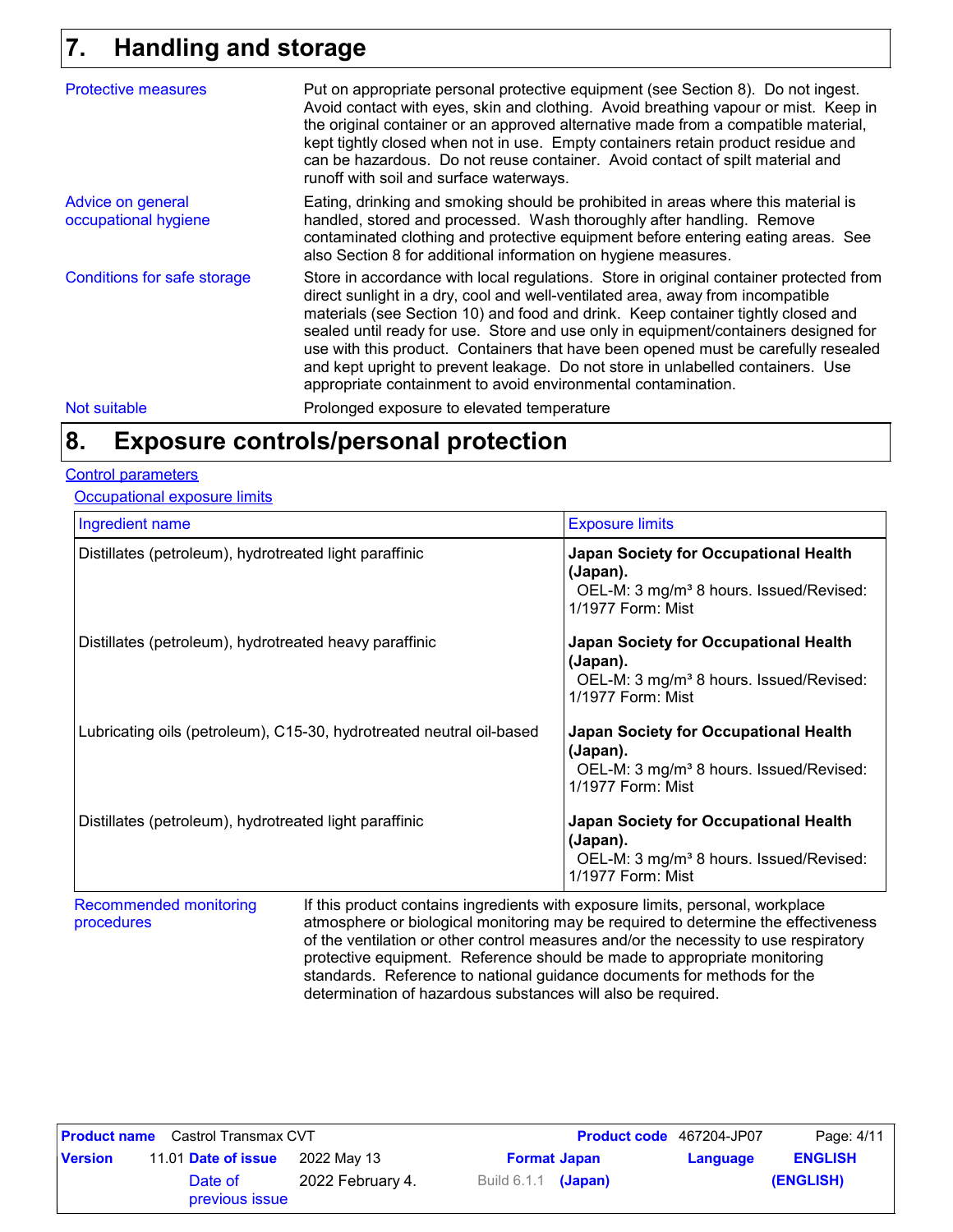## **Handling and storage 7.**

| <b>Protective measures</b>                | Put on appropriate personal protective equipment (see Section 8). Do not ingest.<br>Avoid contact with eyes, skin and clothing. Avoid breathing vapour or mist. Keep in<br>the original container or an approved alternative made from a compatible material,<br>kept tightly closed when not in use. Empty containers retain product residue and<br>can be hazardous. Do not reuse container. Avoid contact of spilt material and<br>runoff with soil and surface waterways.                                                                                                                  |
|-------------------------------------------|------------------------------------------------------------------------------------------------------------------------------------------------------------------------------------------------------------------------------------------------------------------------------------------------------------------------------------------------------------------------------------------------------------------------------------------------------------------------------------------------------------------------------------------------------------------------------------------------|
| Advice on general<br>occupational hygiene | Eating, drinking and smoking should be prohibited in areas where this material is<br>handled, stored and processed. Wash thoroughly after handling. Remove<br>contaminated clothing and protective equipment before entering eating areas. See<br>also Section 8 for additional information on hygiene measures.                                                                                                                                                                                                                                                                               |
| Conditions for safe storage               | Store in accordance with local regulations. Store in original container protected from<br>direct sunlight in a dry, cool and well-ventilated area, away from incompatible<br>materials (see Section 10) and food and drink. Keep container tightly closed and<br>sealed until ready for use. Store and use only in equipment/containers designed for<br>use with this product. Containers that have been opened must be carefully resealed<br>and kept upright to prevent leakage. Do not store in unlabelled containers. Use<br>appropriate containment to avoid environmental contamination. |
| Not suitable                              | Prolonged exposure to elevated temperature                                                                                                                                                                                                                                                                                                                                                                                                                                                                                                                                                     |

## **Exposure controls/personal protection 8.**

#### Control parameters

**Occupational exposure limits** 

| Ingredient name                                                      | <b>Exposure limits</b>                                                                                                        |
|----------------------------------------------------------------------|-------------------------------------------------------------------------------------------------------------------------------|
| Distillates (petroleum), hydrotreated light paraffinic               | Japan Society for Occupational Health<br>(Japan).<br>OEL-M: 3 mg/m <sup>3</sup> 8 hours. Issued/Revised:<br>1/1977 Form: Mist |
| Distillates (petroleum), hydrotreated heavy paraffinic               | Japan Society for Occupational Health<br>(Japan).<br>OEL-M: 3 mg/m <sup>3</sup> 8 hours. Issued/Revised:<br>1/1977 Form: Mist |
| Lubricating oils (petroleum), C15-30, hydrotreated neutral oil-based | Japan Society for Occupational Health<br>(Japan).<br>OEL-M: 3 mg/m <sup>3</sup> 8 hours. Issued/Revised:<br>1/1977 Form: Mist |
| Distillates (petroleum), hydrotreated light paraffinic               | Japan Society for Occupational Health<br>(Japan).<br>OEL-M: 3 mg/m <sup>3</sup> 8 hours. Issued/Revised:<br>1/1977 Form: Mist |

Recommended monitoring procedures iferits with exposure limits, personal, workplace atmosphere or biological monitoring may be required to determine the effectiveness of the ventilation or other control measures and/or the necessity to use respiratory protective equipment. Reference should be made to appropriate monitoring standards. Reference to national guidance documents for methods for the determination of hazardous substances will also be required.

|                | <b>Product name</b> Castrol Transmax CVT |                  |                       | <b>Product code</b> 467204-JP07 | Page: 4/11     |
|----------------|------------------------------------------|------------------|-----------------------|---------------------------------|----------------|
| <b>Version</b> | 11.01 Date of issue                      | 2022 May 13      | <b>Format Japan</b>   | Language                        | <b>ENGLISH</b> |
|                | Date of<br>previous issue                | 2022 February 4. | Build $6.1.1$ (Japan) |                                 | (ENGLISH)      |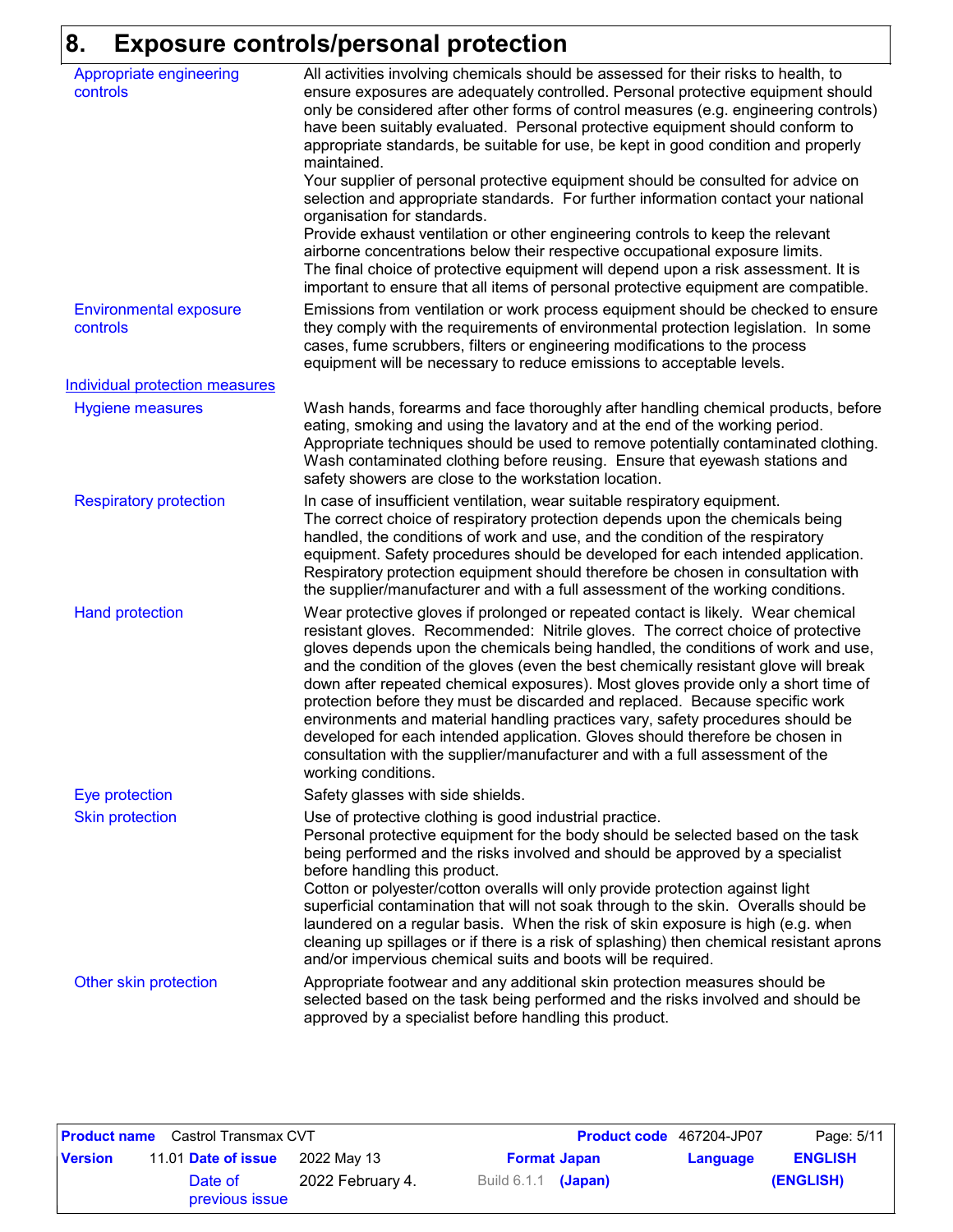# **8. Exposure controls/personal protection**

| Appropriate engineering<br>controls       | All activities involving chemicals should be assessed for their risks to health, to<br>ensure exposures are adequately controlled. Personal protective equipment should<br>only be considered after other forms of control measures (e.g. engineering controls)<br>have been suitably evaluated. Personal protective equipment should conform to<br>appropriate standards, be suitable for use, be kept in good condition and properly<br>maintained.<br>Your supplier of personal protective equipment should be consulted for advice on<br>selection and appropriate standards. For further information contact your national<br>organisation for standards.<br>Provide exhaust ventilation or other engineering controls to keep the relevant<br>airborne concentrations below their respective occupational exposure limits.<br>The final choice of protective equipment will depend upon a risk assessment. It is<br>important to ensure that all items of personal protective equipment are compatible. |
|-------------------------------------------|---------------------------------------------------------------------------------------------------------------------------------------------------------------------------------------------------------------------------------------------------------------------------------------------------------------------------------------------------------------------------------------------------------------------------------------------------------------------------------------------------------------------------------------------------------------------------------------------------------------------------------------------------------------------------------------------------------------------------------------------------------------------------------------------------------------------------------------------------------------------------------------------------------------------------------------------------------------------------------------------------------------|
| <b>Environmental exposure</b><br>controls | Emissions from ventilation or work process equipment should be checked to ensure<br>they comply with the requirements of environmental protection legislation. In some<br>cases, fume scrubbers, filters or engineering modifications to the process<br>equipment will be necessary to reduce emissions to acceptable levels.                                                                                                                                                                                                                                                                                                                                                                                                                                                                                                                                                                                                                                                                                 |
| <b>Individual protection measures</b>     |                                                                                                                                                                                                                                                                                                                                                                                                                                                                                                                                                                                                                                                                                                                                                                                                                                                                                                                                                                                                               |
| <b>Hygiene measures</b>                   | Wash hands, forearms and face thoroughly after handling chemical products, before<br>eating, smoking and using the lavatory and at the end of the working period.<br>Appropriate techniques should be used to remove potentially contaminated clothing.<br>Wash contaminated clothing before reusing. Ensure that eyewash stations and<br>safety showers are close to the workstation location.                                                                                                                                                                                                                                                                                                                                                                                                                                                                                                                                                                                                               |
| <b>Respiratory protection</b>             | In case of insufficient ventilation, wear suitable respiratory equipment.<br>The correct choice of respiratory protection depends upon the chemicals being<br>handled, the conditions of work and use, and the condition of the respiratory<br>equipment. Safety procedures should be developed for each intended application.<br>Respiratory protection equipment should therefore be chosen in consultation with<br>the supplier/manufacturer and with a full assessment of the working conditions.                                                                                                                                                                                                                                                                                                                                                                                                                                                                                                         |
| <b>Hand protection</b>                    | Wear protective gloves if prolonged or repeated contact is likely. Wear chemical<br>resistant gloves. Recommended: Nitrile gloves. The correct choice of protective<br>gloves depends upon the chemicals being handled, the conditions of work and use,<br>and the condition of the gloves (even the best chemically resistant glove will break<br>down after repeated chemical exposures). Most gloves provide only a short time of<br>protection before they must be discarded and replaced. Because specific work<br>environments and material handling practices vary, safety procedures should be<br>developed for each intended application. Gloves should therefore be chosen in<br>consultation with the supplier/manufacturer and with a full assessment of the<br>working conditions.                                                                                                                                                                                                               |
| Eye protection                            | Safety glasses with side shields.                                                                                                                                                                                                                                                                                                                                                                                                                                                                                                                                                                                                                                                                                                                                                                                                                                                                                                                                                                             |
| <b>Skin protection</b>                    | Use of protective clothing is good industrial practice.<br>Personal protective equipment for the body should be selected based on the task<br>being performed and the risks involved and should be approved by a specialist<br>before handling this product.<br>Cotton or polyester/cotton overalls will only provide protection against light<br>superficial contamination that will not soak through to the skin. Overalls should be<br>laundered on a regular basis. When the risk of skin exposure is high (e.g. when<br>cleaning up spillages or if there is a risk of splashing) then chemical resistant aprons<br>and/or impervious chemical suits and boots will be required.                                                                                                                                                                                                                                                                                                                         |
| Other skin protection                     | Appropriate footwear and any additional skin protection measures should be<br>selected based on the task being performed and the risks involved and should be<br>approved by a specialist before handling this product.                                                                                                                                                                                                                                                                                                                                                                                                                                                                                                                                                                                                                                                                                                                                                                                       |

|                | <b>Product name</b> Castrol Transmax CVT |                  |                            | Product code 467204-JP07 | Page: 5/11     |
|----------------|------------------------------------------|------------------|----------------------------|--------------------------|----------------|
| <b>Version</b> | 11.01 Date of issue                      | 2022 May 13      | <b>Format Japan</b>        | Language                 | <b>ENGLISH</b> |
|                | Date of<br>previous issue                | 2022 February 4. | Build 6.1.1 <b>(Japan)</b> |                          | (ENGLISH)      |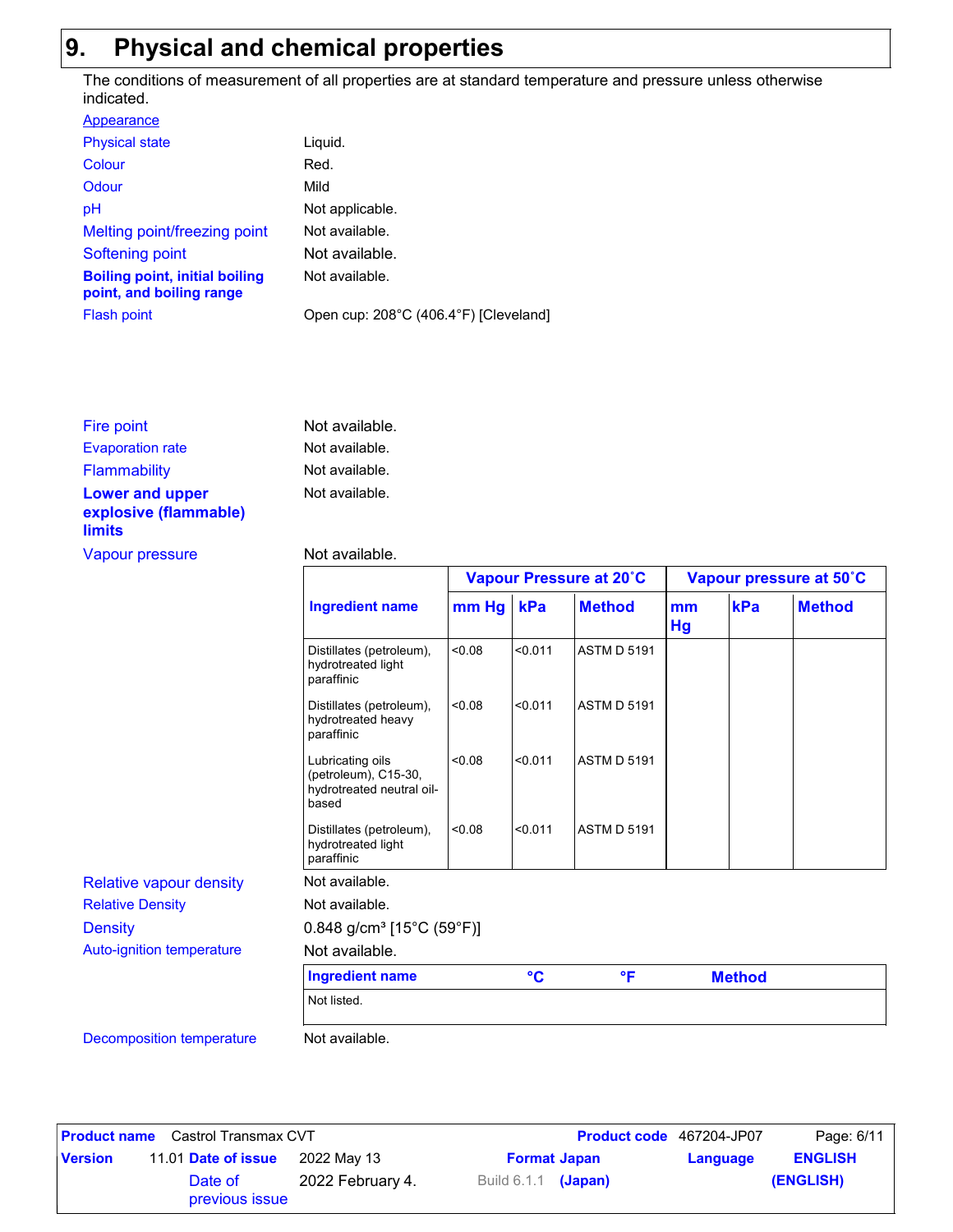# **9. Physical and chemical properties**

The conditions of measurement of all properties are at standard temperature and pressure unless otherwise indicated.

| Appearance                                                        |                                       |
|-------------------------------------------------------------------|---------------------------------------|
| <b>Physical state</b>                                             | Liquid.                               |
| Colour                                                            | Red.                                  |
| Odour                                                             | Mild                                  |
| pH                                                                | Not applicable.                       |
| Melting point/freezing point                                      | Not available.                        |
| Softening point                                                   | Not available.                        |
| <b>Boiling point, initial boiling</b><br>point, and boiling range | Not available.                        |
| <b>Flash point</b>                                                | Open cup: 208°C (406.4°F) [Cleveland] |

| Fire point                                                       | Not available. |
|------------------------------------------------------------------|----------------|
| <b>Evaporation rate</b>                                          | Not available. |
| <b>Flammability</b>                                              | Not available. |
| <b>Lower and upper</b><br>explosive (flammable)<br><b>limits</b> | Not available. |
| Vapour pressure                                                  | Not available. |

#### vailable.

|                                  |                                                                                |         | Vapour Pressure at 20°C |                    | Vapour pressure at 50°C |               |               |
|----------------------------------|--------------------------------------------------------------------------------|---------|-------------------------|--------------------|-------------------------|---------------|---------------|
|                                  | <b>Ingredient name</b>                                                         | $mm$ Hg | kPa                     | <b>Method</b>      | mm<br>Hg                | kPa           | <b>Method</b> |
|                                  | Distillates (petroleum),<br>hydrotreated light<br>paraffinic                   | 0.08    | < 0.011                 | <b>ASTM D 5191</b> |                         |               |               |
|                                  | Distillates (petroleum),<br>hydrotreated heavy<br>paraffinic                   | 0.08    | < 0.011                 | <b>ASTM D 5191</b> |                         |               |               |
|                                  | Lubricating oils<br>(petroleum), C15-30,<br>hydrotreated neutral oil-<br>based | < 0.08  | < 0.011                 | <b>ASTM D 5191</b> |                         |               |               |
|                                  | Distillates (petroleum),<br>hydrotreated light<br>paraffinic                   | < 0.08  | < 0.011                 | <b>ASTM D 5191</b> |                         |               |               |
| <b>Relative vapour density</b>   | Not available.                                                                 |         |                         |                    |                         |               |               |
| <b>Relative Density</b>          | Not available.                                                                 |         |                         |                    |                         |               |               |
| <b>Density</b>                   | $0.848$ g/cm <sup>3</sup> [15°C (59°F)]                                        |         |                         |                    |                         |               |               |
| Auto-ignition temperature        | Not available.                                                                 |         |                         |                    |                         |               |               |
|                                  | <b>Ingredient name</b>                                                         |         | $\rm ^{\circ}C$         | °F                 |                         | <b>Method</b> |               |
|                                  | Not listed.                                                                    |         |                         |                    |                         |               |               |
| <b>Decomposition temperature</b> | Not available.                                                                 |         |                         |                    |                         |               |               |

|                | <b>Product name</b> Castrol Transmax CVT |                  |                       | <b>Product code</b> 467204-JP07 | Page: 6/11     |
|----------------|------------------------------------------|------------------|-----------------------|---------------------------------|----------------|
| <b>Version</b> | 11.01 Date of issue                      | 2022 May 13      | <b>Format Japan</b>   | Language                        | <b>ENGLISH</b> |
|                | Date of<br>previous issue                | 2022 February 4. | Build $6.1.1$ (Japan) |                                 | (ENGLISH)      |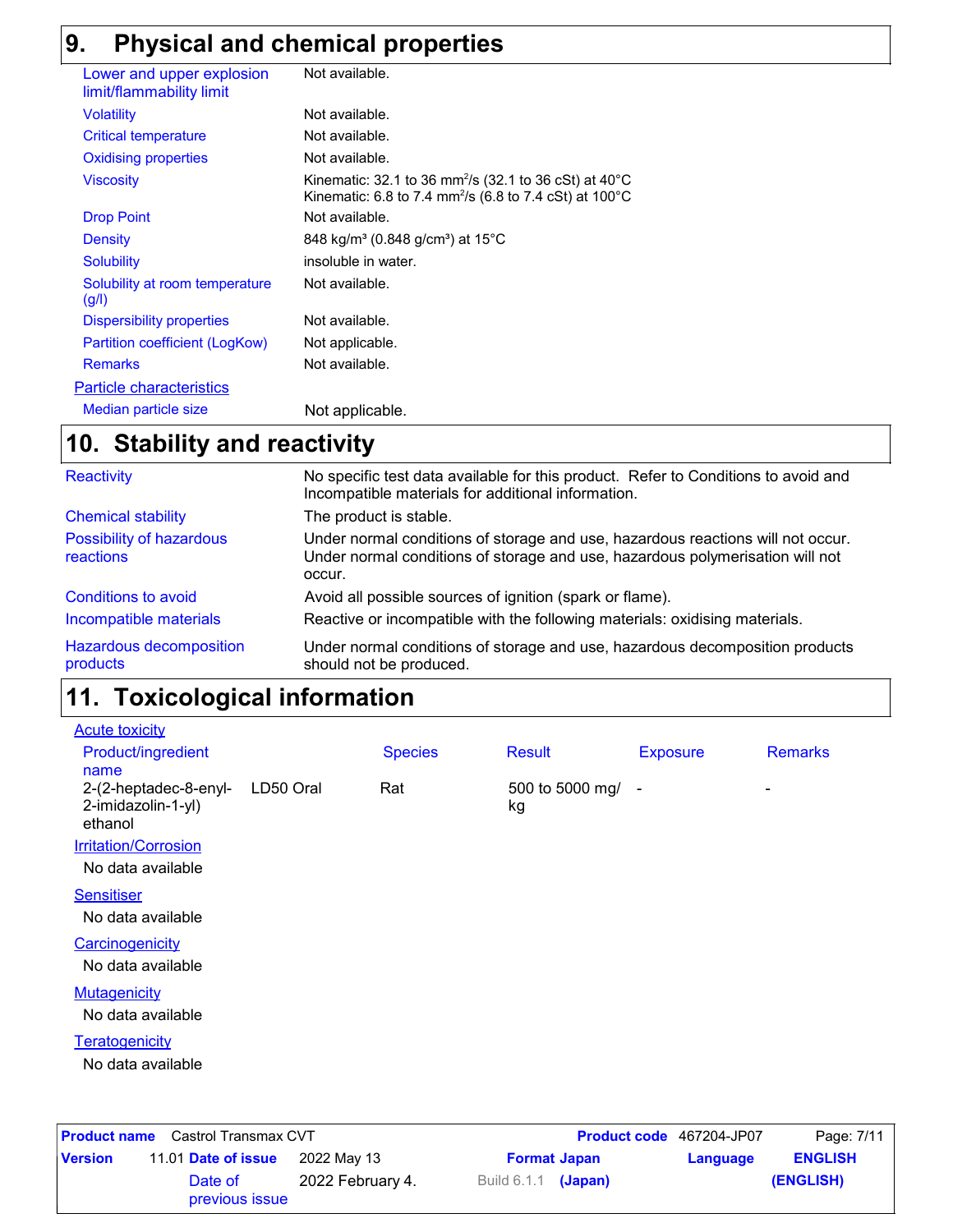# **9. Physical and chemical properties**

| Lower and upper explosion<br>limit/flammability limit | Not available.                                                                                                                                    |
|-------------------------------------------------------|---------------------------------------------------------------------------------------------------------------------------------------------------|
| <b>Volatility</b>                                     | Not available.                                                                                                                                    |
| <b>Critical temperature</b>                           | Not available.                                                                                                                                    |
| <b>Oxidising properties</b>                           | Not available.                                                                                                                                    |
| <b>Viscosity</b>                                      | Kinematic: 32.1 to 36 mm <sup>2</sup> /s (32.1 to 36 cSt) at $40^{\circ}$ C<br>Kinematic: 6.8 to 7.4 mm <sup>2</sup> /s (6.8 to 7.4 cSt) at 100°C |
| <b>Drop Point</b>                                     | Not available.                                                                                                                                    |
| Density                                               | 848 kg/m <sup>3</sup> (0.848 g/cm <sup>3</sup> ) at 15 <sup>°</sup> C                                                                             |
| <b>Solubility</b>                                     | insoluble in water.                                                                                                                               |
| Solubility at room temperature<br>(g/l)               | Not available.                                                                                                                                    |
| <b>Dispersibility properties</b>                      | Not available.                                                                                                                                    |
| Partition coefficient (LogKow)                        | Not applicable.                                                                                                                                   |
| <b>Remarks</b>                                        | Not available.                                                                                                                                    |
| <b>Particle characteristics</b>                       |                                                                                                                                                   |
| Median particle size                                  | Not applicable.                                                                                                                                   |

## **Stability and reactivity 10.**

| <b>Reactivity</b>                          | No specific test data available for this product. Refer to Conditions to avoid and<br>Incompatible materials for additional information.                                   |
|--------------------------------------------|----------------------------------------------------------------------------------------------------------------------------------------------------------------------------|
| <b>Chemical stability</b>                  | The product is stable.                                                                                                                                                     |
| Possibility of hazardous<br>reactions      | Under normal conditions of storage and use, hazardous reactions will not occur.<br>Under normal conditions of storage and use, hazardous polymerisation will not<br>occur. |
| Conditions to avoid                        | Avoid all possible sources of ignition (spark or flame).                                                                                                                   |
| Incompatible materials                     | Reactive or incompatible with the following materials: oxidising materials.                                                                                                |
| <b>Hazardous decomposition</b><br>products | Under normal conditions of storage and use, hazardous decomposition products<br>should not be produced.                                                                    |

#### **Toxicological information 11.**

| <b>Acute toxicity</b>                                  |           |                |                         |                 |                |
|--------------------------------------------------------|-----------|----------------|-------------------------|-----------------|----------------|
| <b>Product/ingredient</b><br>name                      |           | <b>Species</b> | <b>Result</b>           | <b>Exposure</b> | <b>Remarks</b> |
| 2-(2-heptadec-8-enyl-<br>2-imidazolin-1-yl)<br>ethanol | LD50 Oral | Rat            | 500 to 5000 mg/ -<br>kg |                 | ٠              |
| <b>Irritation/Corrosion</b>                            |           |                |                         |                 |                |
| No data available                                      |           |                |                         |                 |                |
| <b>Sensitiser</b>                                      |           |                |                         |                 |                |
| No data available                                      |           |                |                         |                 |                |
| Carcinogenicity                                        |           |                |                         |                 |                |
| No data available                                      |           |                |                         |                 |                |
| <b>Mutagenicity</b>                                    |           |                |                         |                 |                |
| No data available                                      |           |                |                         |                 |                |
| Teratogenicity                                         |           |                |                         |                 |                |
| No data available                                      |           |                |                         |                 |                |
|                                                        |           |                |                         |                 |                |
|                                                        |           |                |                         |                 |                |

|                | <b>Product name</b> Castrol Transmax CVT |                  |                       | <b>Product code</b> 467204-JP07 |          | Page: 7/11     |
|----------------|------------------------------------------|------------------|-----------------------|---------------------------------|----------|----------------|
| <b>Version</b> | 11.01 Date of issue                      | 2022 May 13      | <b>Format Japan</b>   |                                 | Language | <b>ENGLISH</b> |
|                | Date of<br>previous issue                | 2022 February 4. | Build $6.1.1$ (Japan) |                                 |          | (ENGLISH)      |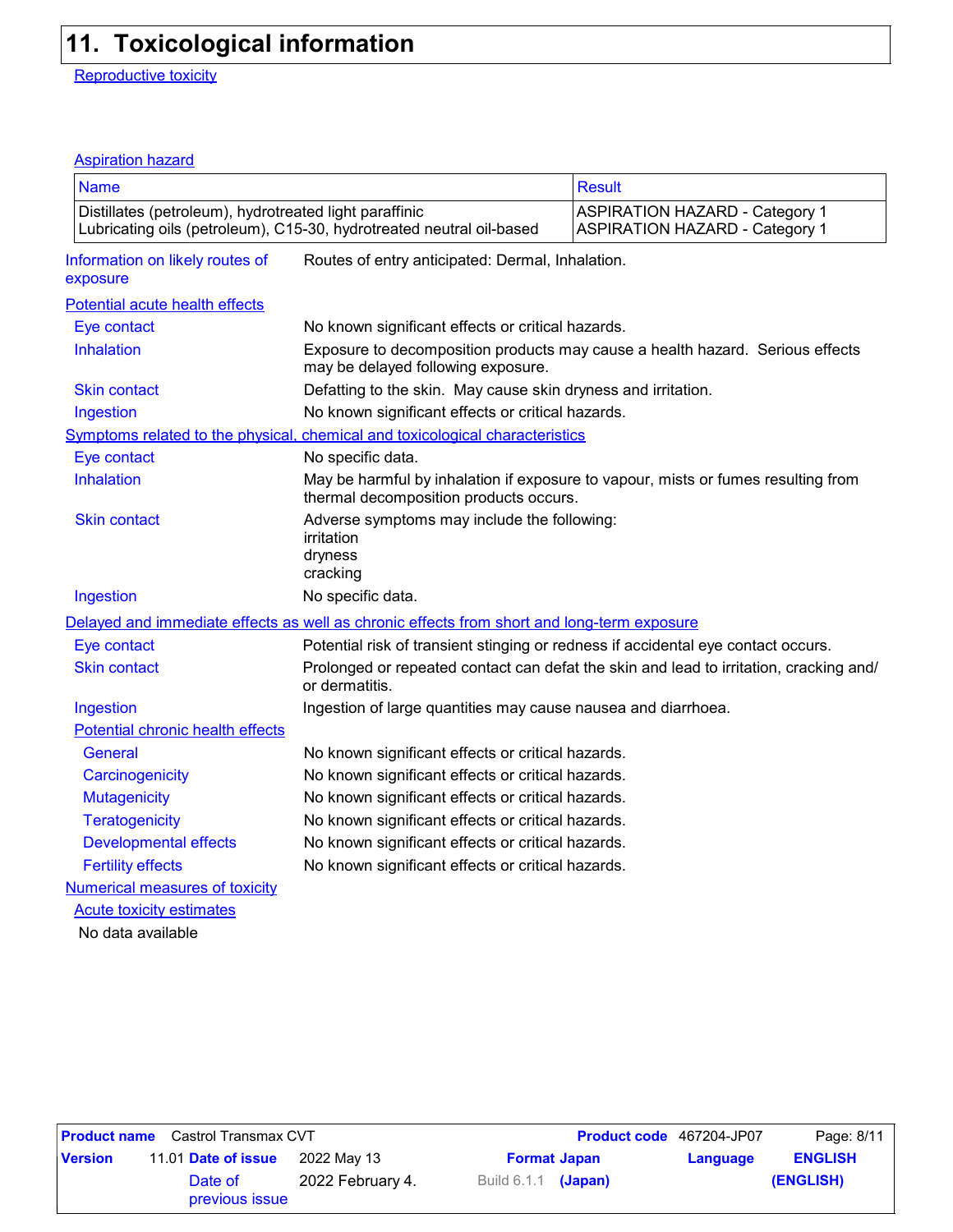# **11. Toxicological information**

Reproductive toxicity

## Aspiration hazard

| <b>Name</b>                                            |                                                                                            | <b>Result</b>                                                                                                               |  |  |  |  |
|--------------------------------------------------------|--------------------------------------------------------------------------------------------|-----------------------------------------------------------------------------------------------------------------------------|--|--|--|--|
|                                                        |                                                                                            |                                                                                                                             |  |  |  |  |
| Distillates (petroleum), hydrotreated light paraffinic | Lubricating oils (petroleum), C15-30, hydrotreated neutral oil-based                       | <b>ASPIRATION HAZARD - Category 1</b><br><b>ASPIRATION HAZARD - Category 1</b>                                              |  |  |  |  |
| Information on likely routes of<br>exposure            | Routes of entry anticipated: Dermal, Inhalation.                                           |                                                                                                                             |  |  |  |  |
| Potential acute health effects                         |                                                                                            |                                                                                                                             |  |  |  |  |
| Eye contact                                            | No known significant effects or critical hazards.                                          |                                                                                                                             |  |  |  |  |
| Inhalation                                             | may be delayed following exposure.                                                         | Exposure to decomposition products may cause a health hazard. Serious effects                                               |  |  |  |  |
| <b>Skin contact</b>                                    | Defatting to the skin. May cause skin dryness and irritation.                              |                                                                                                                             |  |  |  |  |
| Ingestion                                              | No known significant effects or critical hazards.                                          |                                                                                                                             |  |  |  |  |
|                                                        | Symptoms related to the physical, chemical and toxicological characteristics               |                                                                                                                             |  |  |  |  |
| Eye contact                                            | No specific data.                                                                          |                                                                                                                             |  |  |  |  |
| Inhalation                                             |                                                                                            | May be harmful by inhalation if exposure to vapour, mists or fumes resulting from<br>thermal decomposition products occurs. |  |  |  |  |
| <b>Skin contact</b>                                    | Adverse symptoms may include the following:<br>irritation<br>dryness<br>cracking           |                                                                                                                             |  |  |  |  |
| Ingestion                                              | No specific data.                                                                          |                                                                                                                             |  |  |  |  |
|                                                        | Delayed and immediate effects as well as chronic effects from short and long-term exposure |                                                                                                                             |  |  |  |  |
| Eye contact                                            |                                                                                            | Potential risk of transient stinging or redness if accidental eye contact occurs.                                           |  |  |  |  |
| <b>Skin contact</b>                                    | or dermatitis.                                                                             | Prolonged or repeated contact can defat the skin and lead to irritation, cracking and/                                      |  |  |  |  |
| Ingestion                                              | Ingestion of large quantities may cause nausea and diarrhoea.                              |                                                                                                                             |  |  |  |  |
| Potential chronic health effects                       |                                                                                            |                                                                                                                             |  |  |  |  |
| General                                                | No known significant effects or critical hazards.                                          |                                                                                                                             |  |  |  |  |
| Carcinogenicity                                        | No known significant effects or critical hazards.                                          |                                                                                                                             |  |  |  |  |
| <b>Mutagenicity</b>                                    | No known significant effects or critical hazards.                                          |                                                                                                                             |  |  |  |  |
| <b>Teratogenicity</b>                                  | No known significant effects or critical hazards.                                          |                                                                                                                             |  |  |  |  |
| <b>Developmental effects</b>                           | No known significant effects or critical hazards.                                          |                                                                                                                             |  |  |  |  |
| <b>Fertility effects</b>                               | No known significant effects or critical hazards.                                          |                                                                                                                             |  |  |  |  |
| <b>Numerical measures of toxicity</b>                  |                                                                                            |                                                                                                                             |  |  |  |  |
| <b>Acute toxicity estimates</b>                        |                                                                                            |                                                                                                                             |  |  |  |  |
| No data available                                      |                                                                                            |                                                                                                                             |  |  |  |  |

|                | <b>Product name</b> Castrol Transmax CVT |                  |                     | Product code 467204-JP07 |          | Page: 8/11     |
|----------------|------------------------------------------|------------------|---------------------|--------------------------|----------|----------------|
| <b>Version</b> | 11.01 Date of issue                      | 2022 Mav 13      |                     | <b>Format Japan</b>      | Language | <b>ENGLISH</b> |
|                | Date of<br>previous issue                | 2022 February 4. | Build 6.1.1 (Japan) |                          |          | (ENGLISH)      |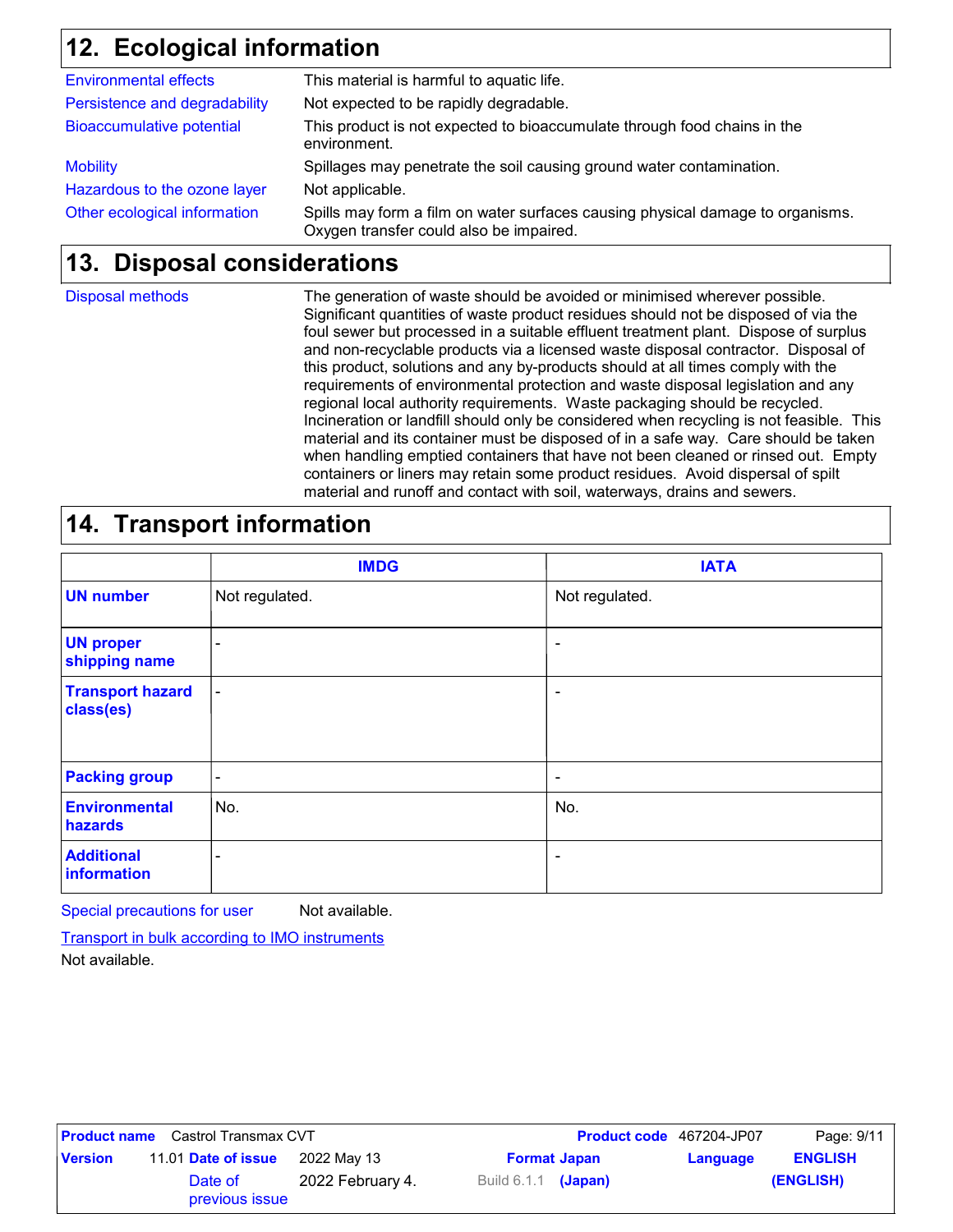## **Ecological information 12.**

| Other ecological information     | Spills may form a film on water surfaces causing physical damage to organisms.<br>Oxygen transfer could also be impaired. |
|----------------------------------|---------------------------------------------------------------------------------------------------------------------------|
| Hazardous to the ozone layer     | Not applicable.                                                                                                           |
| <b>Mobility</b>                  | Spillages may penetrate the soil causing ground water contamination.                                                      |
| <b>Bioaccumulative potential</b> | This product is not expected to bioaccumulate through food chains in the<br>environment.                                  |
| Persistence and degradability    | Not expected to be rapidly degradable.                                                                                    |
| <b>Environmental effects</b>     | This material is harmful to aquatic life.                                                                                 |

## **Disposal considerations 13.**

Disposal methods

The generation of waste should be avoided or minimised wherever possible. Significant quantities of waste product residues should not be disposed of via the foul sewer but processed in a suitable effluent treatment plant. Dispose of surplus and non-recyclable products via a licensed waste disposal contractor. Disposal of this product, solutions and any by-products should at all times comply with the requirements of environmental protection and waste disposal legislation and any regional local authority requirements. Waste packaging should be recycled. Incineration or landfill should only be considered when recycling is not feasible. This material and its container must be disposed of in a safe way. Care should be taken when handling emptied containers that have not been cleaned or rinsed out. Empty containers or liners may retain some product residues. Avoid dispersal of spilt material and runoff and contact with soil, waterways, drains and sewers.

## **14. Transport information**

|                                      | <b>IMDG</b>              | <b>IATA</b>    |
|--------------------------------------|--------------------------|----------------|
| <b>UN number</b>                     | Not regulated.           | Not regulated. |
| <b>UN proper</b><br>shipping name    | -                        | ۰              |
| <b>Transport hazard</b><br>class(es) | $\overline{\phantom{a}}$ | ٠              |
| <b>Packing group</b>                 | ۰                        | ۰              |
| <b>Environmental</b><br>hazards      | No.                      | No.            |
| <b>Additional</b><br>information     | $\overline{\phantom{a}}$ | ۰              |

Special precautions for user Not available.

Transport in bulk according to IMO instruments

Not available.

|                | <b>Product name</b> Castrol Transmax CVT |                  |                            | Product code 467204-JP07 | Page: 9/11     |
|----------------|------------------------------------------|------------------|----------------------------|--------------------------|----------------|
| <b>Version</b> | 11.01 Date of issue                      | 2022 May 13      | <b>Format Japan</b>        | Language                 | <b>ENGLISH</b> |
|                | Date of<br>previous issue                | 2022 February 4. | Build 6.1.1 <b>(Japan)</b> |                          | (ENGLISH)      |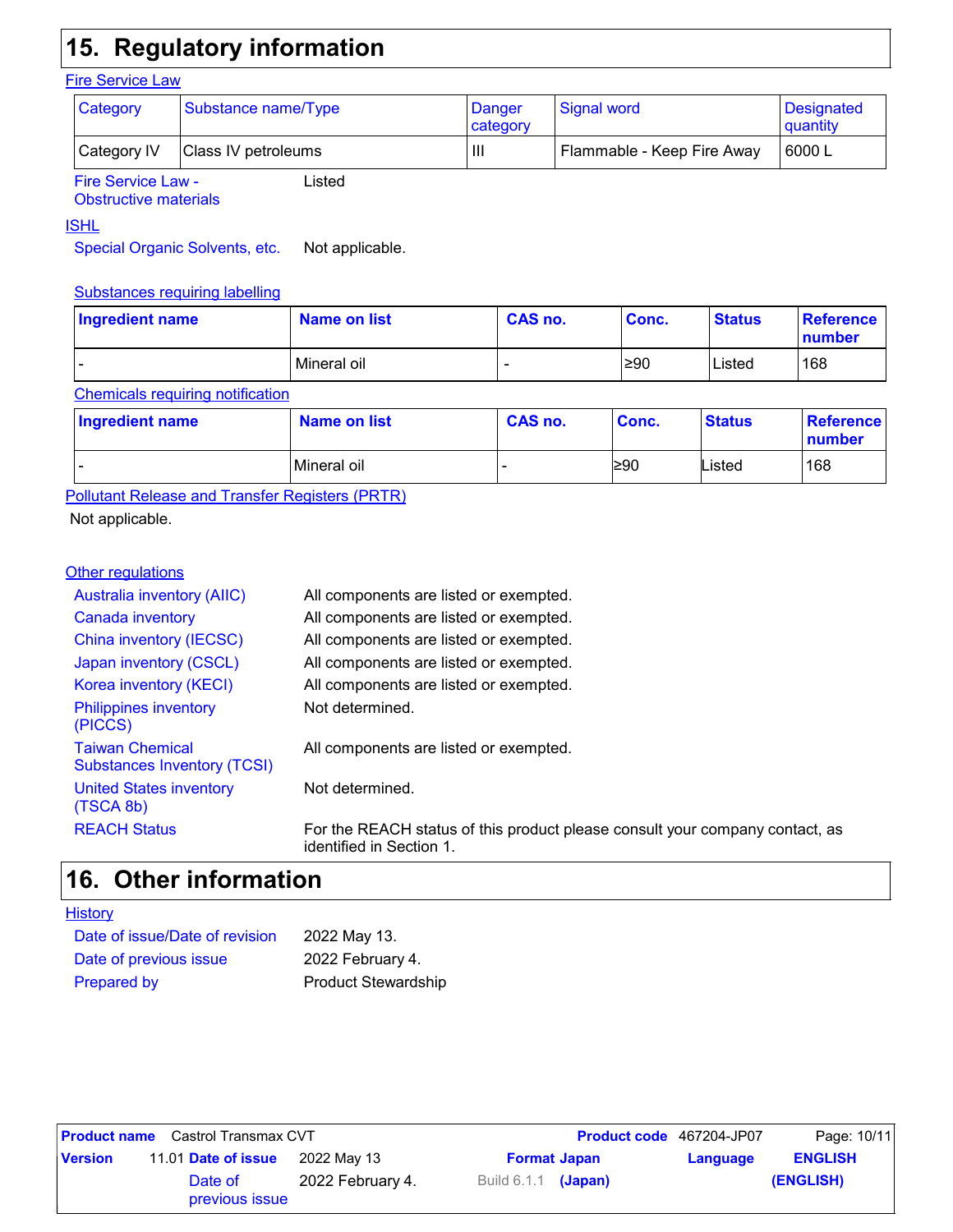# **15. Regulatory information**

### **Fire Service Law**

| <b>Category</b>           | Substance name/Type | Danger<br>category | Signal word                | Designated<br>quantity |
|---------------------------|---------------------|--------------------|----------------------------|------------------------|
| Category IV               | Class IV petroleums | Шı                 | Flammable - Keep Fire Away | 6000 L                 |
| <b>Fire Service Law -</b> | Listed              |                    |                            |                        |

Fire Service Law - Obstructive materials

## ISHL

Special Organic Solvents, etc. Not applicable.

### Substances requiring labelling

| Ingredient name | Name on list | CAS no. | Conc. | <b>Status</b> | Reference<br>number |
|-----------------|--------------|---------|-------|---------------|---------------------|
| -               | Mineral oil  | -       | ≥90   | Listed        | 168                 |

### Chemicals requiring notification

| Ingredient name | <b>Name on list</b> | CAS no. | Conc. | <b>Status</b> | Reference<br>number |
|-----------------|---------------------|---------|-------|---------------|---------------------|
| -               | Mineral oil         |         | l≥90  | Listed        | 168                 |

Pollutant Release and Transfer Registers (PRTR)

Not applicable.

### **Other regulations**

| <b>Australia inventory (AIIC)</b>                            | All components are listed or exempted.                                                                   |
|--------------------------------------------------------------|----------------------------------------------------------------------------------------------------------|
| Canada inventory                                             | All components are listed or exempted.                                                                   |
| China inventory (IECSC)                                      | All components are listed or exempted.                                                                   |
| Japan inventory (CSCL)                                       | All components are listed or exempted.                                                                   |
| Korea inventory (KECI)                                       | All components are listed or exempted.                                                                   |
| <b>Philippines inventory</b><br>(PICCS)                      | Not determined.                                                                                          |
| <b>Taiwan Chemical</b><br><b>Substances Inventory (TCSI)</b> | All components are listed or exempted.                                                                   |
| <b>United States inventory</b><br>(TSCA 8b)                  | Not determined.                                                                                          |
| <b>REACH Status</b>                                          | For the REACH status of this product please consult your company contact, as<br>identified in Section 1. |

## **Other information 16.**

| Date of issue/Date of revision | 2022 May 13.               |
|--------------------------------|----------------------------|
| Date of previous issue         | 2022 February 4.           |
| <b>Prepared by</b>             | <b>Product Stewardship</b> |

|                | <b>Product name</b> Castrol Transmax CVT |                  |                       | <b>Product code</b> 467204-JP07 | Page: 10/11    |
|----------------|------------------------------------------|------------------|-----------------------|---------------------------------|----------------|
| <b>Version</b> | 11.01 Date of issue                      | 2022 May 13      | <b>Format Japan</b>   | Language                        | <b>ENGLISH</b> |
|                | Date of<br>previous issue                | 2022 February 4. | Build $6.1.1$ (Japan) |                                 | (ENGLISH)      |